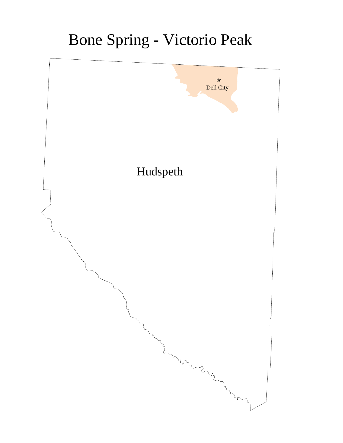## Bone Spring - Victorio Peak